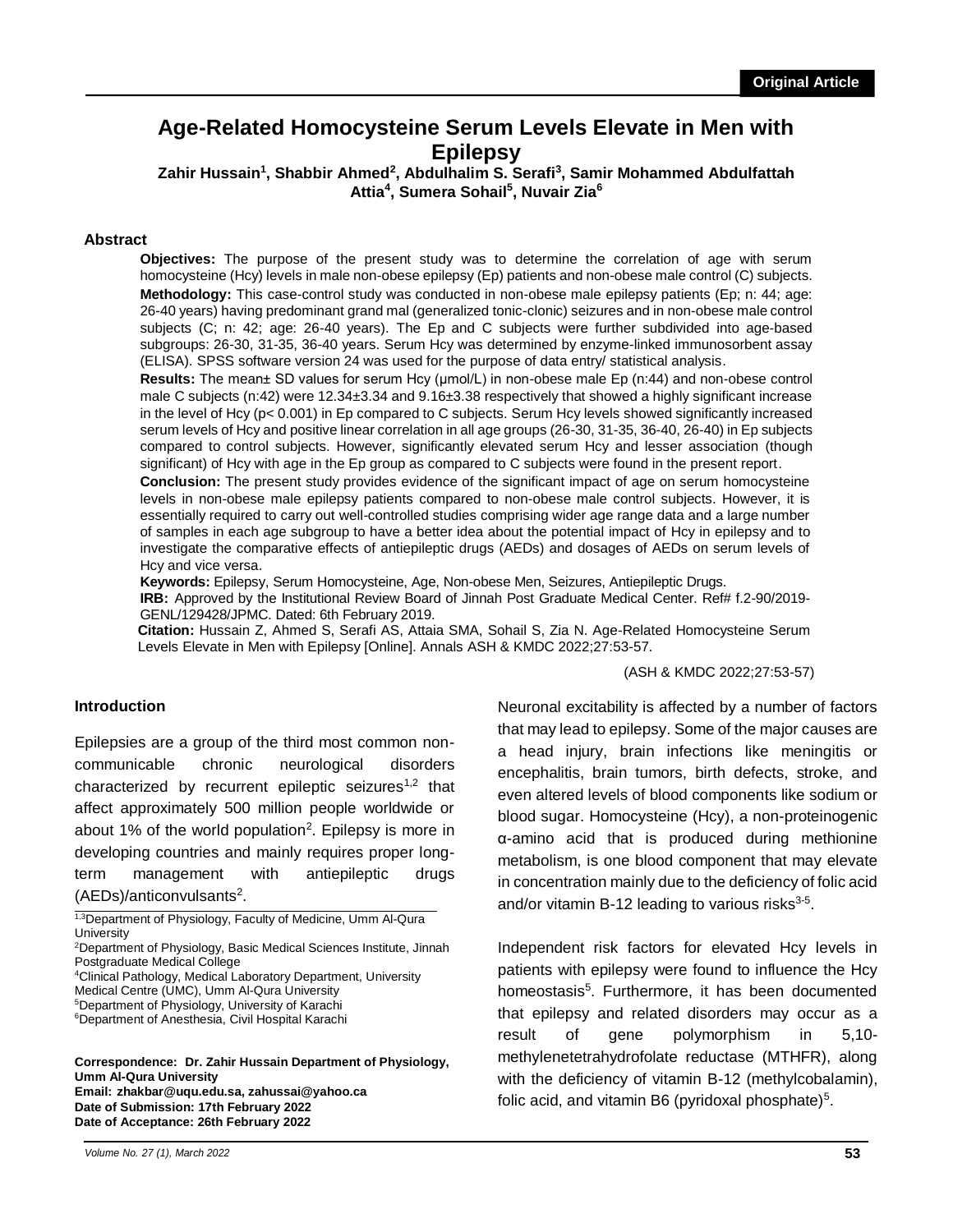# **Age-Related Homocysteine Serum Levels Elevate in Men with Epilepsy**

**Zahir Hussain<sup>1</sup> , Shabbir Ahmed<sup>2</sup> , Abdulhalim S. Serafi<sup>3</sup> , Samir Mohammed Abdulfattah Attia<sup>4</sup> , Sumera Sohail<sup>5</sup> , Nuvair Zia<sup>6</sup>**

### **Abstract**

**Objectives:** The purpose of the present study was to determine the correlation of age with serum homocysteine (Hcy) levels in male non-obese epilepsy (Ep) patients and non-obese male control (C) subjects. **Methodology:** This case-control study was conducted in non-obese male epilepsy patients (Ep; n: 44; age: 26-40 years) having predominant grand mal (generalized tonic-clonic) seizures and in non-obese male control subjects (C; n: 42; age: 26-40 years). The Ep and C subjects were further subdivided into age-based subgroups: 26-30, 31-35, 36-40 years. Serum Hcy was determined by enzyme-linked immunosorbent assay (ELISA). SPSS software version 24 was used for the purpose of data entry/ statistical analysis.

**Results:** The mean± SD values for serum Hcy (μmol/L) in non-obese male Ep (n:44) and non-obese control male C subjects (n:42) were 12.34±3.34 and 9.16±3.38 respectively that showed a highly significant increase in the level of Hcy (p< 0.001) in Ep compared to C subjects. Serum Hcy levels showed significantly increased serum levels of Hcy and positive linear correlation in all age groups (26-30, 31-35, 36-40, 26-40) in Ep subjects compared to control subjects. However, significantly elevated serum Hcy and lesser association (though significant) of Hcy with age in the Ep group as compared to C subjects were found in the present report.

**Conclusion:** The present study provides evidence of the significant impact of age on serum homocysteine levels in non-obese male epilepsy patients compared to non-obese male control subjects. However, it is essentially required to carry out well-controlled studies comprising wider age range data and a large number of samples in each age subgroup to have a better idea about the potential impact of Hcy in epilepsy and to investigate the comparative effects of antiepileptic drugs (AEDs) and dosages of AEDs on serum levels of Hcy and vice versa.

**Keywords:** Epilepsy, Serum Homocysteine, Age, Non-obese Men, Seizures, Antiepileptic Drugs.

**IRB:** Approved by the Institutional Review Board of Jinnah Post Graduate Medical Center. Ref# f.2-90/2019- GENL/129428/JPMC. Dated: 6th February 2019.

**Citation:** Hussain Z, Ahmed S, Serafi AS, Attaia SMA, Sohail S, Zia N. Age-Related Homocysteine Serum Levels Elevate in Men with Epilepsy [Online]. Annals ASH & KMDC 2022;27:53-57.

(ASH & KMDC 2022;27:53-57)

#### **Introduction**

Epilepsies are a group of the third most common noncommunicable chronic neurological disorders characterized by recurrent epileptic seizures<sup>1,2</sup> that affect approximately 500 million people worldwide or about 1% of the world population<sup>2</sup>. Epilepsy is more in developing countries and mainly requires proper longterm management with antiepileptic drugs (AEDs)/anticonvulsants<sup>2</sup>.

1,3Department of Physiology, Faculty of Medicine, Umm Al-Qura **University** 

<sup>2</sup>Department of Physiology, Basic Medical Sciences Institute, Jinnah Postgraduate Medical College

<sup>4</sup>Clinical Pathology, Medical Laboratory Department, University Medical Centre (UMC), Umm Al-Qura University

**Correspondence: Dr. Zahir Hussain Department of Physiology, Umm Al-Qura University Email: zhakbar@uqu.edu.sa, zahussai@yahoo.ca Date of Submission: 17th February 2022 Date of Acceptance: 26th February 2022**

*Volume No. 27 (1), March 2022*

Neuronal excitability is affected by a number of factors that may lead to epilepsy. Some of the major causes are a head injury, brain infections like meningitis or encephalitis, brain tumors, birth defects, stroke, and even altered levels of blood components like sodium or blood sugar. Homocysteine (Hcy), a non-proteinogenic α-amino acid that is produced during methionine metabolism, is one blood component that may elevate in concentration mainly due to the deficiency of folic acid and/or vitamin B-12 leading to various risks $3-5$ .

Independent risk factors for elevated Hcy levels in patients with epilepsy were found to influence the Hcy homeostasis<sup>5</sup>. Furthermore, it has been documented that epilepsy and related disorders may occur as a result of gene polymorphism in 5,10 methylenetetrahydrofolate reductase (MTHFR), along with the deficiency of vitamin B-12 (methylcobalamin), folic acid, and vitamin B6 (pyridoxal phosphate) $5$ .

<sup>5</sup>Department of Physiology, University of Karachi <sup>6</sup>Department of Anesthesia, Civil Hospital Karachi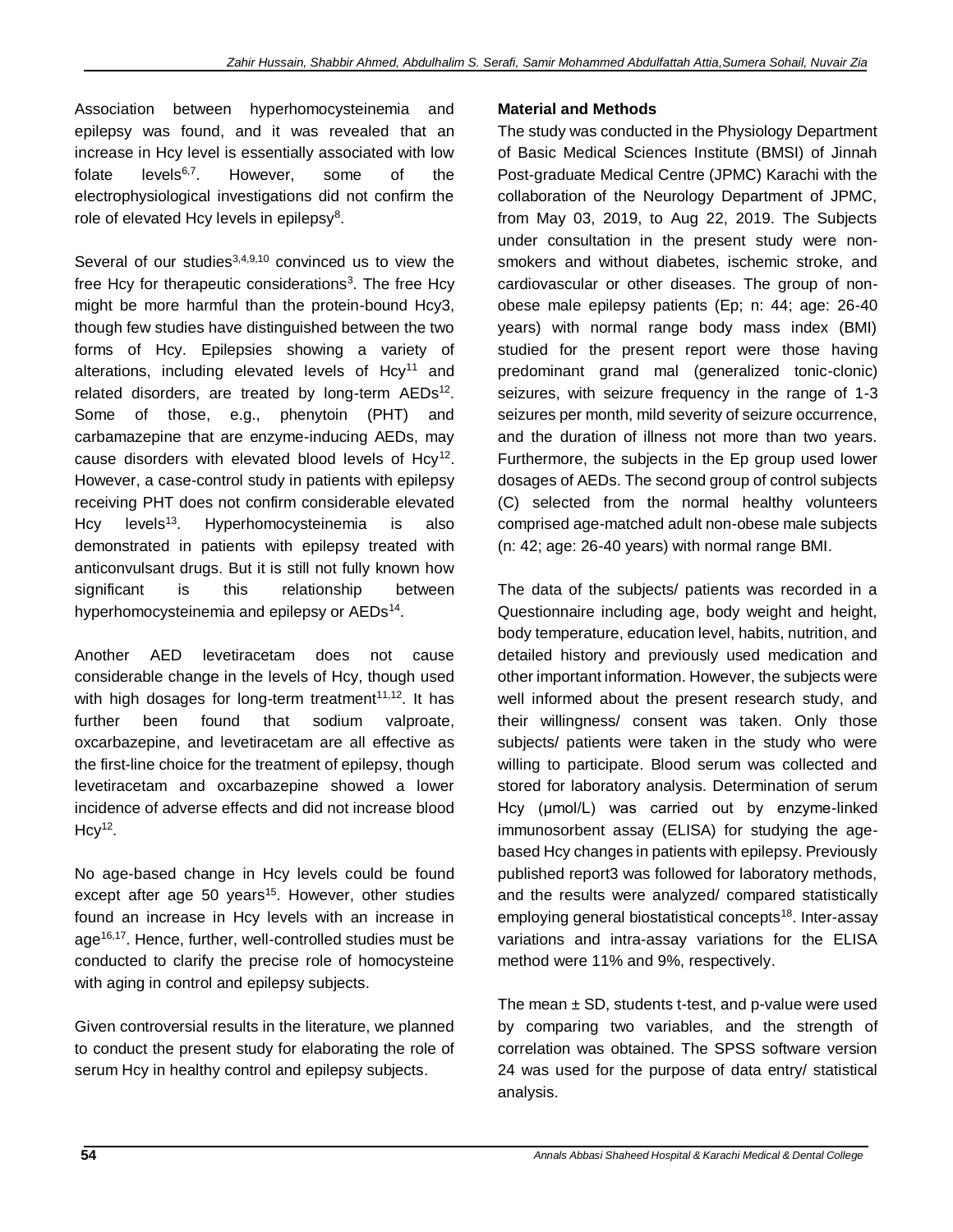Association between hyperhomocysteinemia and epilepsy was found, and it was revealed that an increase in Hcy level is essentially associated with low folate levels $6,7$ . . However, some of the electrophysiological investigations did not confirm the role of elevated Hcy levels in epilepsy $8$ .

Several of our studies $3,4,9,10$  convinced us to view the free Hcy for therapeutic considerations<sup>3</sup>. The free Hcy might be more harmful than the protein-bound Hcy3, though few studies have distinguished between the two forms of Hcy. Epilepsies showing a variety of alterations, including elevated levels of  $Hcy<sup>11</sup>$  and related disorders, are treated by long-term AEDs<sup>12</sup>. Some of those, e.g., phenytoin (PHT) and carbamazepine that are enzyme-inducing AEDs, may cause disorders with elevated blood levels of  $Hcy^{12}$ . However, a case-control study in patients with epilepsy receiving PHT does not confirm considerable elevated Hcy levels<sup>13</sup>. Hyperhomocysteinemia is also demonstrated in patients with epilepsy treated with anticonvulsant drugs. But it is still not fully known how significant is this relationship between hyperhomocysteinemia and epilepsy or AEDs<sup>14</sup>.

Another AED levetiracetam does not cause considerable change in the levels of Hcy, though used with high dosages for long-term treatment<sup>11,12</sup>. It has further been found that sodium valproate, oxcarbazepine, and levetiracetam are all effective as the first-line choice for the treatment of epilepsy, though levetiracetam and oxcarbazepine showed a lower incidence of adverse effects and did not increase blood  $Hcy<sup>12</sup>$ .

No age-based change in Hcy levels could be found except after age 50 years<sup>15</sup>. However, other studies found an increase in Hcy levels with an increase in age<sup>16,17</sup>. Hence, further, well-controlled studies must be conducted to clarify the precise role of homocysteine with aging in control and epilepsy subjects.

Given controversial results in the literature, we planned to conduct the present study for elaborating the role of serum Hcy in healthy control and epilepsy subjects.

## **Material and Methods**

The study was conducted in the Physiology Department of Basic Medical Sciences Institute (BMSI) of Jinnah Post-graduate Medical Centre (JPMC) Karachi with the collaboration of the Neurology Department of JPMC, from May 03, 2019, to Aug 22, 2019. The Subjects under consultation in the present study were nonsmokers and without diabetes, ischemic stroke, and cardiovascular or other diseases. The group of nonobese male epilepsy patients (Ep; n: 44; age: 26-40 years) with normal range body mass index (BMI) studied for the present report were those having predominant grand mal (generalized tonic-clonic) seizures, with seizure frequency in the range of 1-3 seizures per month, mild severity of seizure occurrence, and the duration of illness not more than two years. Furthermore, the subjects in the Ep group used lower dosages of AEDs. The second group of control subjects (C) selected from the normal healthy volunteers comprised age-matched adult non-obese male subjects (n: 42; age: 26-40 years) with normal range BMI.

The data of the subjects/ patients was recorded in a Questionnaire including age, body weight and height, body temperature, education level, habits, nutrition, and detailed history and previously used medication and other important information. However, the subjects were well informed about the present research study, and their willingness/ consent was taken. Only those subjects/ patients were taken in the study who were willing to participate. Blood serum was collected and stored for laboratory analysis. Determination of serum Hcy (μmol/L) was carried out by enzyme-linked immunosorbent assay (ELISA) for studying the agebased Hcy changes in patients with epilepsy. Previously published report3 was followed for laboratory methods, and the results were analyzed/ compared statistically employing general biostatistical concepts<sup>18</sup>. Inter-assay variations and intra-assay variations for the ELISA method were 11% and 9%, respectively.

The mean  $\pm$  SD, students t-test, and p-value were used by comparing two variables, and the strength of correlation was obtained. The SPSS software version 24 was used for the purpose of data entry/ statistical analysis.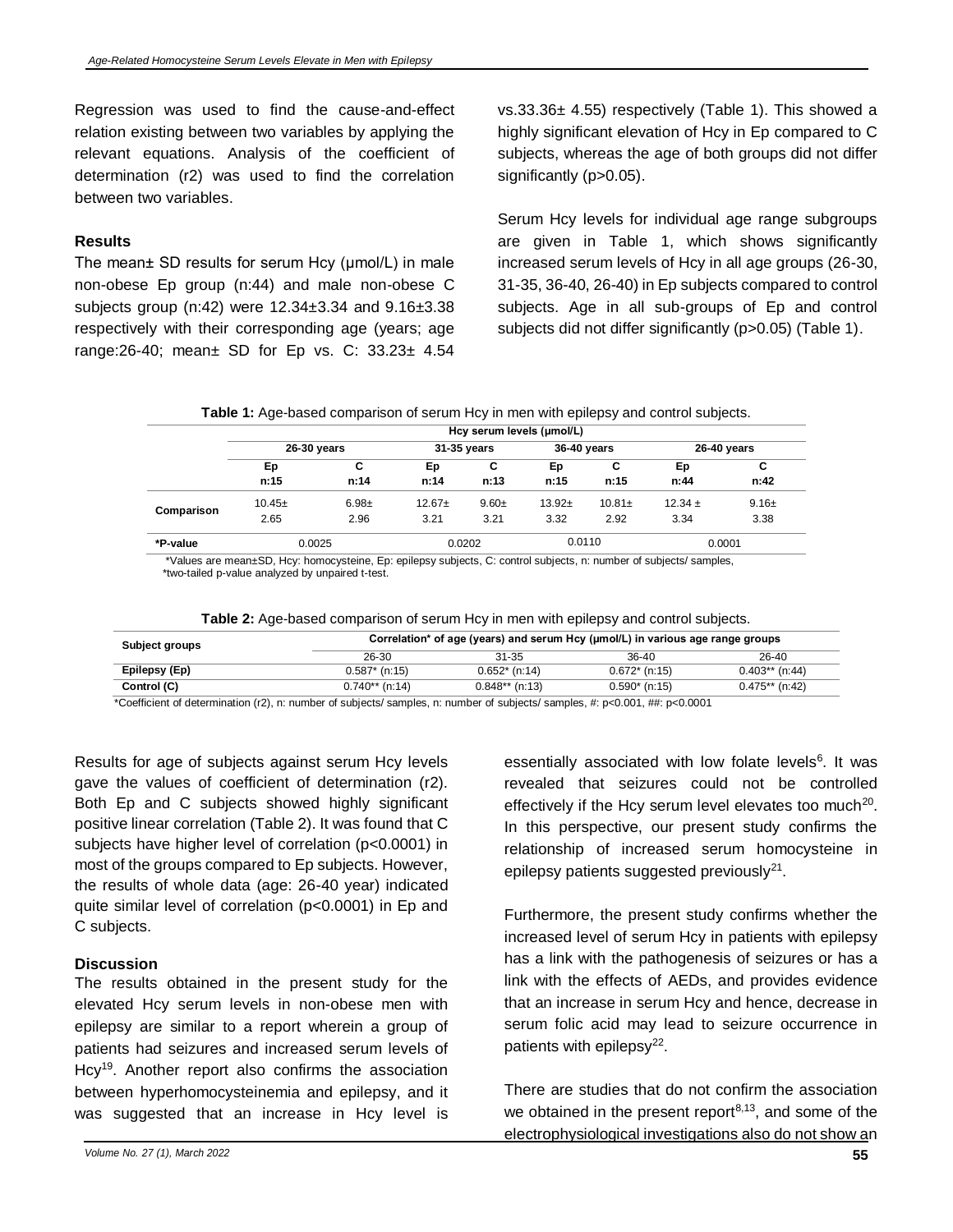Regression was used to find the cause-and-effect relation existing between two variables by applying the relevant equations. Analysis of the coefficient of determination (r2) was used to find the correlation between two variables.

### **Results**

The mean± SD results for serum Hcy (μmol/L) in male non-obese Ep group (n:44) and male non-obese C subjects group (n:42) were 12.34±3.34 and 9.16±3.38 respectively with their corresponding age (years; age range:26-40; mean± SD for Ep vs. C: 33.23± 4.54

vs.33.36± 4.55) respectively (Table 1). This showed a highly significant elevation of Hcy in Ep compared to C subjects, whereas the age of both groups did not differ significantly (p>0.05).

Serum Hcy levels for individual age range subgroups are given in Table 1, which shows significantly increased serum levels of Hcy in all age groups (26-30, 31-35, 36-40, 26-40) in Ep subjects compared to control subjects. Age in all sub-groups of Ep and control subjects did not differ significantly (p>0.05) (Table 1).

**Table 1:** Age-based comparison of serum Hcy in men with epilepsy and control subjects.

|            | Hcy serum levels (umol/L)                 |          |             |         |             |           |             |            |  |
|------------|-------------------------------------------|----------|-------------|---------|-------------|-----------|-------------|------------|--|
|            | 26-30 years                               |          | 31-35 years |         | 36-40 years |           | 26-40 years |            |  |
|            | Ep                                        | С        | Ep          | С       | Ep          | С         | Ep          | C          |  |
|            | n:15                                      | n:14     | n:14        | n:13    | n:15        | n:15      | n:44        | n:42       |  |
| Comparison | $10.45+$                                  | $6.98 +$ | $12.67+$    | $9.60+$ | $13.92+$    | $10.81 +$ | $12.34 \pm$ | $9.16 \pm$ |  |
|            | 2.65                                      | 2.96     | 3.21        | 3.21    | 3.32        | 2.92      | 3.34        | 3.38       |  |
| *P-value   | 0.0025                                    |          | 0.0202      |         | 0.0110      |           | 0.0001      |            |  |
| $-1$       | $\sim$ $\sim$<br>$\overline{\phantom{0}}$ |          | . .<br>.    |         |             |           | .           |            |  |

 \*Values are mean±SD, Hcy: homocysteine, Ep: epilepsy subjects, C: control subjects, n: number of subjects/ samples, \*two-tailed p-value analyzed by unpaired t-test.

| Table 2: Age-based comparison of serum Hcy in men with epilepsy and control subjects. |  |  |  |
|---------------------------------------------------------------------------------------|--|--|--|
|---------------------------------------------------------------------------------------|--|--|--|

| Subject groups | Correlation* of age (years) and serum Hcy (µmol/L) in various age range groups |                  |                 |                  |  |  |  |
|----------------|--------------------------------------------------------------------------------|------------------|-----------------|------------------|--|--|--|
|                | 26-30                                                                          | 31-35            | $36-40$         | 26-40            |  |  |  |
| Epilepsy (Ep)  | $0.587*$ (n:15)                                                                | $0.652*$ (n:14)  | $0.672*$ (n:15) | $0.403**$ (n:44) |  |  |  |
| Control (C)    | $0.740**$ (n:14)                                                               | $0.848**$ (n:13) | $0.590*$ (n:15) | $0.475**$ (n:42) |  |  |  |

\*Coefficient of determination (r2), n: number of subjects/ samples, n: number of subjects/ samples, #: p<0.001, ##: p<0.0001

Results for age of subjects against serum Hcy levels gave the values of coefficient of determination (r2). Both Ep and C subjects showed highly significant positive linear correlation (Table 2). It was found that C subjects have higher level of correlation (p<0.0001) in most of the groups compared to Ep subjects. However, the results of whole data (age: 26-40 year) indicated quite similar level of correlation (p<0.0001) in Ep and C subjects.

### **Discussion**

The results obtained in the present study for the elevated Hcy serum levels in non-obese men with epilepsy are similar to a report wherein a group of patients had seizures and increased serum levels of Hcy<sup>19</sup>. Another report also confirms the association between hyperhomocysteinemia and epilepsy, and it was suggested that an increase in Hcy level is

essentially associated with low folate levels<sup>6</sup>. It was revealed that seizures could not be controlled effectively if the Hcy serum level elevates too much<sup>20</sup>. In this perspective, our present study confirms the relationship of increased serum homocysteine in epilepsy patients suggested previously $^{21}$ .

Furthermore, the present study confirms whether the increased level of serum Hcy in patients with epilepsy has a link with the pathogenesis of seizures or has a link with the effects of AEDs, and provides evidence that an increase in serum Hcy and hence, decrease in serum folic acid may lead to seizure occurrence in patients with epilepsy<sup>22</sup>.

There are studies that do not confirm the association we obtained in the present report<sup>8,13</sup>, and some of the electrophysiological investigations also do not show an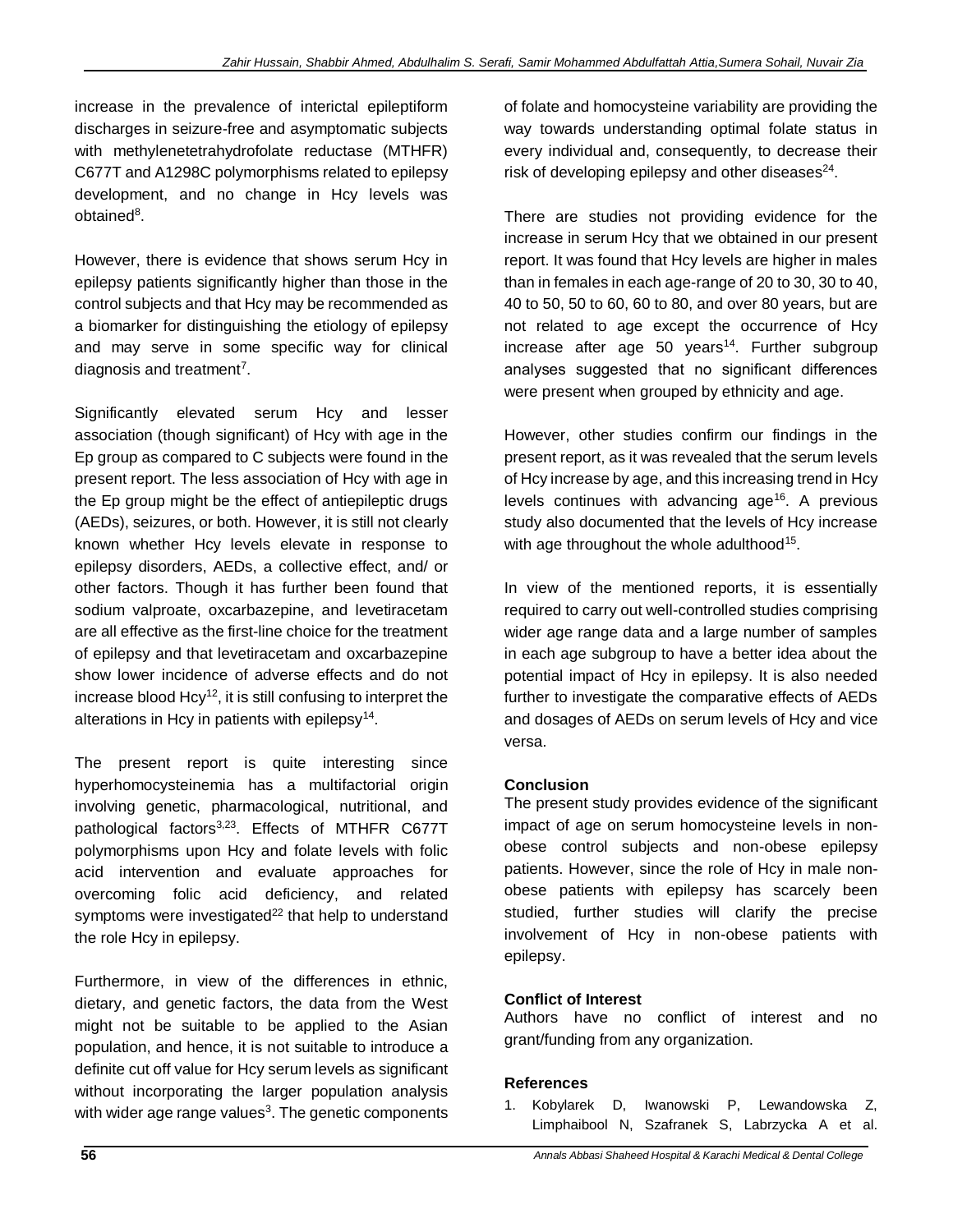increase in the prevalence of interictal epileptiform discharges in seizure-free and asymptomatic subjects with methylenetetrahydrofolate reductase (MTHFR) C677T and A1298C polymorphisms related to epilepsy development, and no change in Hcy levels was obtained<sup>8</sup>.

However, there is evidence that shows serum Hcy in epilepsy patients significantly higher than those in the control subjects and that Hcy may be recommended as a biomarker for distinguishing the etiology of epilepsy and may serve in some specific way for clinical diagnosis and treatment<sup>7</sup>.

Significantly elevated serum Hcy and lesser association (though significant) of Hcy with age in the Ep group as compared to C subjects were found in the present report. The less association of Hcy with age in the Ep group might be the effect of antiepileptic drugs (AEDs), seizures, or both. However, it is still not clearly known whether Hcy levels elevate in response to epilepsy disorders, AEDs, a collective effect, and/ or other factors. Though it has further been found that sodium valproate, oxcarbazepine, and levetiracetam are all effective as the first-line choice for the treatment of epilepsy and that levetiracetam and oxcarbazepine show lower incidence of adverse effects and do not increase blood  $Hcv^{12}$ , it is still confusing to interpret the alterations in Hcy in patients with epilepsy<sup>14</sup>.

The present report is quite interesting since hyperhomocysteinemia has a multifactorial origin involving genetic, pharmacological, nutritional, and pathological factors<sup>3,23</sup>. Effects of MTHFR C677T polymorphisms upon Hcy and folate levels with folic acid intervention and evaluate approaches for overcoming folic acid deficiency, and related symptoms were investigated<sup>22</sup> that help to understand the role Hcy in epilepsy.

Furthermore, in view of the differences in ethnic, dietary, and genetic factors, the data from the West might not be suitable to be applied to the Asian population, and hence, it is not suitable to introduce a definite cut off value for Hcy serum levels as significant without incorporating the larger population analysis with wider age range values<sup>3</sup>. The genetic components of folate and homocysteine variability are providing the way towards understanding optimal folate status in every individual and, consequently, to decrease their risk of developing epilepsy and other diseases $^{24}$ .

There are studies not providing evidence for the increase in serum Hcy that we obtained in our present report. It was found that Hcy levels are higher in males than in females in each age-range of 20 to 30, 30 to 40, 40 to 50, 50 to 60, 60 to 80, and over 80 years, but are not related to age except the occurrence of Hcy increase after age 50 years<sup>14</sup>. Further subgroup analyses suggested that no significant differences were present when grouped by ethnicity and age.

However, other studies confirm our findings in the present report, as it was revealed that the serum levels of Hcy increase by age, and this increasing trend in Hcy levels continues with advancing  $age^{16}$ . A previous study also documented that the levels of Hcy increase with age throughout the whole adulthood<sup>15</sup>.

In view of the mentioned reports, it is essentially required to carry out well-controlled studies comprising wider age range data and a large number of samples in each age subgroup to have a better idea about the potential impact of Hcy in epilepsy. It is also needed further to investigate the comparative effects of AEDs and dosages of AEDs on serum levels of Hcy and vice versa.

## **Conclusion**

The present study provides evidence of the significant impact of age on serum homocysteine levels in nonobese control subjects and non-obese epilepsy patients. However, since the role of Hcy in male nonobese patients with epilepsy has scarcely been studied, further studies will clarify the precise involvement of Hcy in non-obese patients with epilepsy.

## **Conflict of Interest**

Authors have no conflict of interest and no grant/funding from any organization.

### **References**

1. Kobylarek D, Iwanowski P, Lewandowska Z, Limphaibool N, Szafranek S, Labrzycka A et al.